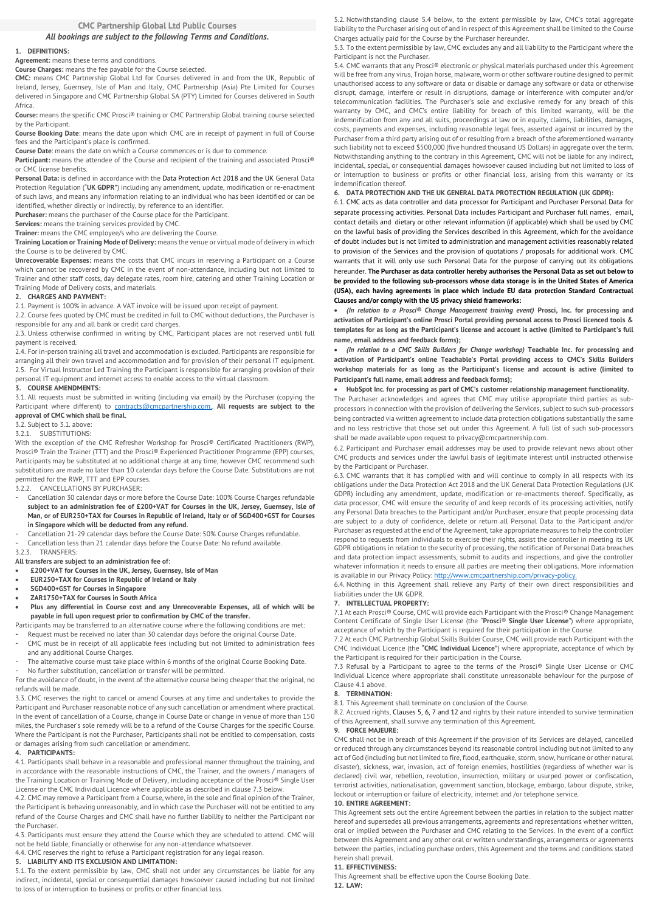# *All bookings are subject to the following Terms and Conditions.*

## **1. DEFINITIONS:**

**Agreement:** means these terms and conditions.

**Course Charges:** means the fee payable for the Course selected.

**CMC:** means CMC Partnership Global Ltd for Courses delivered in and from the UK, Republic of Ireland, Jersey, Guernsey, Isle of Man and Italy, CMC Partnership (Asia) Pte Limited for Courses delivered in Singapore and CMC Partnership Global SA (PTY) Limited for Courses delivered in South Africa.

**Course:** means the specific CMC Prosci® training or CMC Partnership Global training course selected by the Participant.

**Course Booking Date**: means the date upon which CMC are in receipt of payment in full of Course fees and the Participant's place is confirmed.

**Course Date**: means the date on which a Course commences or is due to commence.

**Participant:** means the attendee of the Course and recipient of the training and associated Prosci® or CMC license benefits.

**Personal Data:** is defined in accordance with the Data Protection Act 2018 and the UK General Data Protection Regulation ("**UK GDPR"**) including any amendment, update, modification or re-enactment of such laws¸ and means any information relating to an individual who has been identified or can be

identified, whether directly or indirectly, by reference to an identifier.

**Purchaser:** means the purchaser of the Course place for the Participant.

**Services:** means the training services provided by CMC. **Trainer:** means the CMC employee/s who are delivering the Course.

**Training Location or Training Mode of Delivery:** means the venue or virtual mode of delivery in which the Course is to be delivered by CMC.

**Unrecoverable Expenses:** means the costs that CMC incurs in reserving a Participant on a Course which cannot be recovered by CMC in the event of non-attendance, including but not limited to Trainer and other staff costs, day delegate rates, room hire, catering and other Training Location or Training Mode of Delivery costs, and materials.

### **2. CHARGES AND PAYMENT:**

2.1. Payment is 100% in advance. A VAT invoice will be issued upon receipt of payment.

2.2. Course fees quoted by CMC must be credited in full to CMC without deductions, the Purchaser is

responsible for any and all bank or credit card charges. 2.3. Unless otherwise confirmed in writing by CMC, Participant places are not reserved until full payment is received.

2.4. For in-person training all travel and accommodation is excluded. Participants are responsible for arranging all their own travel and accommodation and for provision of their personal IT equipment. 2.5. For Virtual Instructor Led Training the Participant is responsible for arranging provision of their personal IT equipment and internet access to enable access to the virtual classroom.

#### **3. COURSE AMENDMENTS:**

3.1. All requests must be submitted in writing (including via email) by the Purchaser (copying the Participant where different) to **contracts@cmcpartnership.com.** All requests are subject to the **approval of CMC which shall be final**.

3.2. Subject to 3.1. above:

3.2.1. SUBSTITUTIONS:

With the exception of the CMC Refresher Workshop for Prosci® Certificated Practitioners (RWP), Prosci® Train the Trainer (TTT) and the Prosci® Experienced Practitioner Programme (EPP) courses, Participants may be substituted at no additional charge at any time, however CMC recommend such substitutions are made no later than 10 calendar days before the Course Date. Substitutions are not permitted for the RWP, TTT and EPP courses.

3.2.2. CANCELLATIONS BY PURCHASER:

- Cancellation 30 calendar days or more before the Course Date: 100% Course Charges refundable **subject to an administration fee of £200+VAT for Courses in the UK, Jersey, Guernsey, Isle of Man, or of EUR250+TAX for Courses in Republic of Ireland, Italy or of SGD400+GST for Courses in Singapore which will be deducted from any refund.**
- Cancellation 21-29 calendar days before the Course Date: 50% Course Charges refundable.
- Cancellation less than 21 calendar days before the Course Date: No refund available.

### 3.2.3. TRANSFERS:

**All transfers are subject to an administration fee of:**

- **£200+VAT for Courses in the UK, Jersey, Guernsey, Isle of Man**
- **EUR250+TAX for Courses in Republic of Ireland or Italy**
- **SGD400+GST for Courses in Singapore**
- **ZAR1750+TAX for Courses in South Africa**
- **Plus any differential in Course cost and any Unrecoverable Expenses, all of which will be payable in full upon request prior to confirmation by CMC of the transfer.**

Participants may be transferred to an alternative course where the following conditions are met:

- Request must be received no later than 30 calendar days before the original Course Date.
- CMC must be in receipt of all applicable fees including but not limited to administration fees and any additional Course Charges.
- The alternative course must take place within 6 months of the original Course Booking Date. No further substitution, cancellation or transfer will be permitted.

For the avoidance of doubt, in the event of the alternative course being cheaper that the original, no refunds will be made.

3.3. CMC reserves the right to cancel or amend Courses at any time and undertakes to provide the Participant and Purchaser reasonable notice of any such cancellation or amendment where practical. In the event of cancellation of a Course, change in Course Date or change in venue of more than 150 miles, the Purchaser's sole remedy will be to a refund of the Course Charges for the specific Course. Where the Participant is not the Purchaser, Participants shall not be entitled to compensation, costs or damages arising from such cancellation or amendment.

### **4. PARTICIPANTS:**

4.1. Participants shall behave in a reasonable and professional manner throughout the training, and in accordance with the reasonable instructions of CMC, the Trainer, and the owners / managers of the Training Location or Training Mode of Delivery, including acceptance of the Prosci® Single User License or the CMC Individual Licence where applicable as described in clause 7.3 below.

4.2. CMC may remove a Participant from a Course, where, in the sole and final opinion of the Trainer, the Participant is behaving unreasonably, and in which case the Purchaser will not be entitled to any refund of the Course Charges and CMC shall have no further liability to neither the Participant nor the Purchaser.

4.3. Participants must ensure they attend the Course which they are scheduled to attend. CMC will not be held liable, financially or otherwise for any non-attendance whatsoever.

4.4. CMC reserves the right to refuse a Participant registration for any legal reason.

## **5. LIABILITY AND ITS EXCLUSION AND LIMITATION:**

5.1. To the extent permissible by law, CMC shall not under any circumstances be liable for any indirect, incidental, special or consequential damages howsoever caused including but not limited to loss of or interruption to business or profits or other financial loss.

5.2. Notwithstanding clause 5.4 below, to the extent permissible by law, CMC's total aggregate liability to the Purchaser arising out of and in respect of this Agreement shall be limited to the Course Charges actually paid for the Course by the Purchaser hereunder.

5.3. To the extent permissible by law, CMC excludes any and all liability to the Participant where the Participant is not the Purchaser.

5.4. CMC warrants that any Prosci® electronic or physical materials purchased under this Agreement will be free from any virus, Trojan horse, malware, worm or other software routine designed to permit unauthorised access to any software or data or disable or damage any software or data or otherwise disrupt, damage, interfere or result in disruptions, damage or interference with computer and/or telecommunication facilities. The Purchaser's sole and exclusive remedy for any breach of this warranty by CMC, and CMC's entire liability for breach of this limited warranty, will be the indemnification from any and all suits, proceedings at law or in equity, claims, liabilities, damages, costs, payments and expenses, including reasonable legal fees, asserted against or incurred by the Purchaser from a third party arising out of or resulting from a breach of the aforementioned warranty such liability not to exceed \$500,000 (five hundred thousand US Dollars) in aggregate over the term. Notwithstanding anything to the contrary in this Agreement, CMC will not be liable for any indirect, incidental, special, or consequential damages howsoever caused including but not limited to loss of or interruption to business or profits or other financial loss, arising from this warranty or its indemnification thereof.

### **6. DATA PROTECTION AND THE UK GENERAL DATA PROTECTION REGULATION (UK GDPR):**

6.1. CMC acts as data controller and data processor for Participant and Purchaser Personal Data for separate processing activities. Personal Data includes Participant and Purchaser full names, email, contact details and dietary or other relevant information (if applicable) which shall be used by CMC on the lawful basis of providing the Services described in this Agreement, which for the avoidance of doubt includes but is not limited to administration and management activities reasonably related to provision of the Services and the provision of quotations / proposals for additional work. CMC warrants that it will only use such Personal Data for the purpose of carrying out its obligations hereunder. **The Purchaser as data controller hereby authorises the Personal Data as set out below to be provided to the following sub-processors whose data storage is in the United States of America (USA), each having agreements in place which include EU data protection Standard Contractual Clauses and/or comply with the US privacy shield frameworks:**

• *(In relation to a Prosci® Change Management training event)* **Prosci, Inc. for processing and activation of Participant's online Prosci Portal providing personal access to Prosci licenced tools & templates for as long as the Participant's license and account is active (limited to Participant's full name, email address and feedback forms);**

• *(In relation to a CMC Skills Builders for Change workshop)* **Teachable Inc. for processing and activation of Participant's online Teachable's Portal providing access to CMC's Skills Builders workshop materials for as long as the Participant's license and account is active (limited to Participant's full name, email address and feedback forms);**

# • **HubSpot Inc. for processing as part of CMC's customer relationship management functionality.**

The Purchaser acknowledges and agrees that CMC may utilise appropriate third parties as sub‐ processors in connection with the provision of delivering the Services, subject to such sub-processors being contracted via written agreement to include data protection obligations substantially the same and no less restrictive that those set out under this Agreement. A full list of such sub-processors shall be made available upon request to privacy@cmcpartnership.com.

6.2. Participant and Purchaser email addresses may be used to provide relevant news about other CMC products and services under the lawful basis of legitimate interest until instructed otherwise by the Participant or Purchaser.

6.3. CMC warrants that it has complied with and will continue to comply in all respects with its obligations under the Data Protection Act 2018 and the UK General Data Protection Regulations (UK GDPR) including any amendment, update, modification or re-enactments thereof. Specifically, as data processor, CMC will ensure the security of and keep records of its processing activities, notify any Personal Data breaches to the Participant and/or Purchaser, ensure that people processing data are subject to a duty of confidence, delete or return all Personal Data to the Participant and/or Purchaser as requested at the end of the Agreement, take appropriate measures to help the controller respond to requests from individuals to exercise their rights, assist the controller in meeting its UK GDPR obligations in relation to the security of processing, the notification of Personal Data breaches and data protection impact assessments, submit to audits and inspections, and give the controller whatever information it needs to ensure all parties are meeting their obligations. More information is available in our Privacy Policy[: http://www.cmcpartnership.com/privacy-policy.](http://www.cmcpartnership.com/privacy-policy)

6.4. Nothing in this Agreement shall relieve any Party of their own direct responsibilities and liabilities under the UK GDPR.

#### **7. INTELLECTUAL PROPERTY:**

7.1 At each Prosci® Course, CMC will provide each Participant with the Prosci® Change Management Content Certificate of Single User License (the "**Prosci**® **Single User License**") where appropriate, acceptance of which by the Participant is required for their participation in the Course.

7.2 At each CMC Partnership Global Skills Builder Course, CMC will provide each Participant with the CMC Individual Licence (the **"CMC Individual Licence"**) where appropriate, acceptance of which by the Participant is required for their participation in the Course.

7.3 Refusal by a Participant to agree to the terms of the Prosci® Single User License or CMC Individual Licence where appropriate shall constitute unreasonable behaviour for the purpose of Clause 4.1 above.

#### **8. TERMINATION:**

8.1. This Agreement shall terminate on conclusion of the Course.

8.2. Accrued rights, Clauses 5, 6, 7 and 12 and rights by their nature intended to survive termination of this Agreement, shall survive any termination of this Agreement.

#### **9. FORCE MAJEURE:**

CMC shall not be in breach of this Agreement if the provision of its Services are delayed, cancelled or reduced through any circumstances beyond its reasonable control including but not limited to any act of God (including but not limited to fire, flood, earthquake, storm, snow, hurricane or other natural disaster), sickness, war, invasion, act of foreign enemies, hostilities (regardless of whether war is declared) civil war, rebellion, revolution, insurrection, military or usurped power or confiscation, terrorist activities, nationalisation, government sanction, blockage, embargo, labour dispute, strike, lockout or interruption or failure of electricity, internet and /or telephone service.

### **10. ENTIRE AGREEMENT:**

This Agreement sets out the entire Agreement between the parties in relation to the subject matter hereof and supersedes all previous arrangements, agreements and representations whether written, oral or implied between the Purchaser and CMC relating to the Services. In the event of a conflict between this Agreement and any other oral or written understandings, arrangements or agreements between the parties, including purchase orders, this Agreement and the terms and conditions stated herein shall prevail.

#### **11. EFFECTIVENESS:**

This Agreement shall be effective upon the Course Booking Date. **12. LAW:**